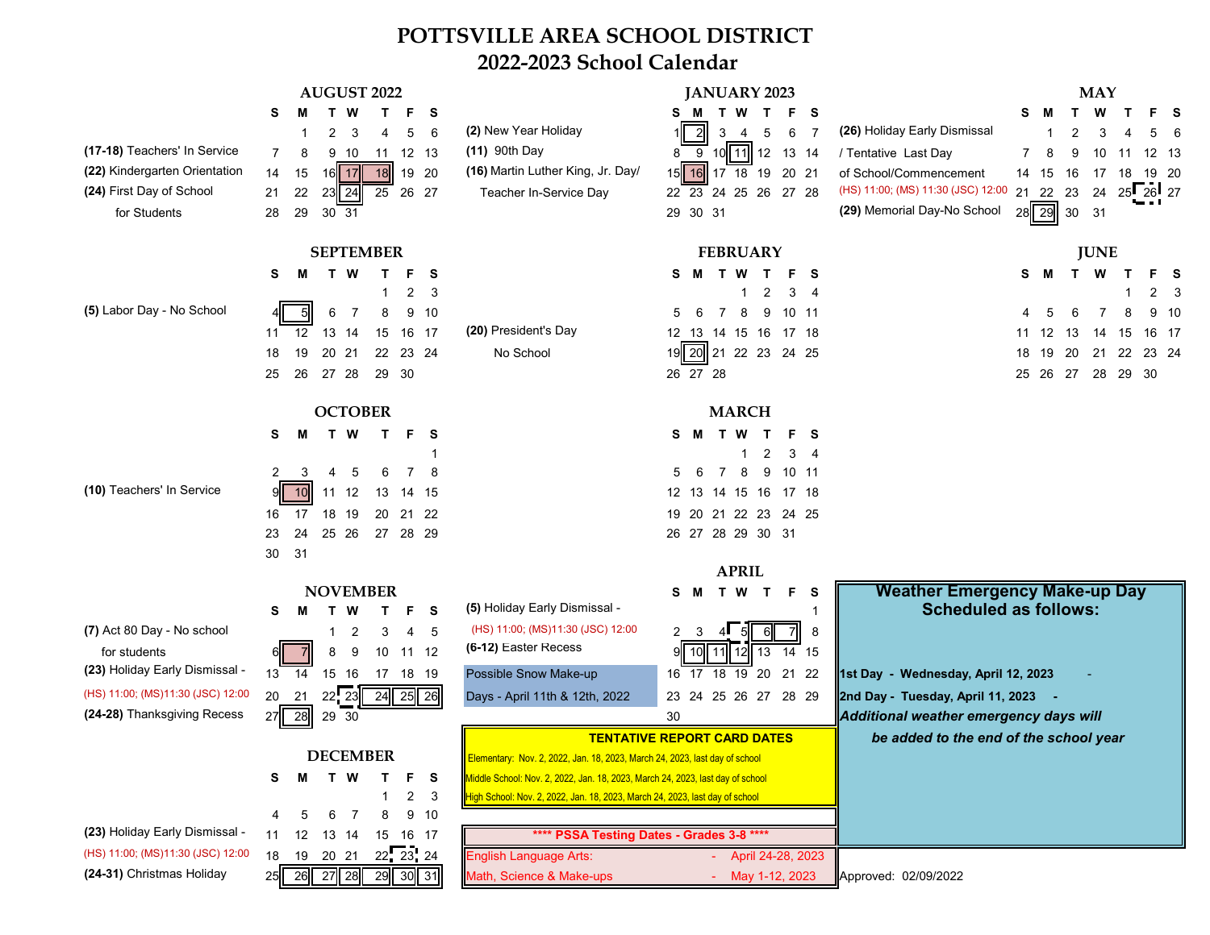## **POTTSVILLE AREA SCHOOL DISTRICT 2022-2023 School Calendar**

| (17-18) Teachers' In Service<br>(22) Kindergarten Orientation<br>(24) First Day of School<br>for Students                                                                                                               | <b>AUGUST 2022</b><br>F S<br>S<br>т<br>3<br>5<br>6<br>2<br>4<br>$\overline{7}$<br>11 12 13<br>10<br>8<br>9<br>16 17<br>18<br>19 20<br>14<br>15<br>21<br>22<br>23 24<br>26 27<br>25<br>29<br>28<br>30 31                                                                                                                                                    | (2) New Year Holiday<br>(11) 90th Day<br>(16) Martin Luther King, Jr. Day/<br>Teacher In-Service Day                                                                                                                                                                                                                                                                                                                                                | <b>JANUARY 2023</b><br>T F S<br>T<br><b>W</b><br>s<br>6<br>$\overline{2}$<br>3<br>5<br>- 7<br>4<br>$10$ 11 12 13 14<br>8<br>9<br>$15$   16<br>17 18 19 20 21<br>22 23 24 25 26 27 28<br>29 30 31                    | <b>MAY</b><br>W<br>T<br>s<br>s<br>(26) Holiday Early Dismissal<br>2<br>3<br>/ Tentative Last Day<br>9<br>12 13<br>8<br>10<br>11<br>of School/Commencement<br>16<br>19 20<br>14 15<br>17<br>18<br>(HS) 11:00; (MS) 11:30 (JSC) 12:00<br>$25$ $26$ $27$<br>23<br>24<br>21 22<br>(29) Memorial Day-No School<br>28 29<br>30<br>31 |
|-------------------------------------------------------------------------------------------------------------------------------------------------------------------------------------------------------------------------|------------------------------------------------------------------------------------------------------------------------------------------------------------------------------------------------------------------------------------------------------------------------------------------------------------------------------------------------------------|-----------------------------------------------------------------------------------------------------------------------------------------------------------------------------------------------------------------------------------------------------------------------------------------------------------------------------------------------------------------------------------------------------------------------------------------------------|---------------------------------------------------------------------------------------------------------------------------------------------------------------------------------------------------------------------|--------------------------------------------------------------------------------------------------------------------------------------------------------------------------------------------------------------------------------------------------------------------------------------------------------------------------------|
| (5) Labor Day - No School                                                                                                                                                                                               | <b>SEPTEMBER</b><br>м<br>T W<br>s<br>T<br>F.<br>S<br>$\overline{2}$<br>3<br>6<br>$\overline{7}$<br>8<br>9 10<br>12<br>13 14<br>15<br>16 17<br>11<br>18<br>19<br>20 21<br>22 23 24<br>27 28<br>25<br>26<br>29 30                                                                                                                                            | (20) President's Day<br>No School                                                                                                                                                                                                                                                                                                                                                                                                                   | <b>FEBRUARY</b><br>M<br>T W<br>T.<br>F S<br>s<br>3<br>2<br>-4<br>$\overline{7}$<br>8<br>9 10 11<br>6<br>5<br>12 13 14 15 16 17 18<br>19 20 21 22 23 24 25<br>26 27 28                                               | <b>JUNE</b><br>W<br>s<br>$\mathbf{T}$<br>-S<br>2<br>-3<br>6<br>9 <sub>10</sub><br>8<br>11 12 13<br>15 16 17<br>14<br>21<br>22 23 24<br>18<br>19<br>20<br>26 27<br>28 29 30<br>25                                                                                                                                               |
| (10) Teachers' In Service                                                                                                                                                                                               | <b>OCTOBER</b><br>T F S<br>М<br>T W<br>s<br>3<br>6<br>7<br>8<br>2<br>5<br>10<br>11 12<br>13<br>14 15<br>17<br>18 19<br>20 21 22<br>16<br>24<br>25 26<br>27 28 29<br>23<br>30<br>31                                                                                                                                                                         |                                                                                                                                                                                                                                                                                                                                                                                                                                                     | <b>MARCH</b><br>M T W<br>T F S<br>S.<br>3 <sub>1</sub><br>2<br>6<br>8<br>$\overline{7}$<br>9 10 11<br>5<br>12 13 14 15 16 17 18<br>19 20 21 22 23 24 25<br>26 27 28 29 30 31<br><b>APRIL</b>                        |                                                                                                                                                                                                                                                                                                                                |
| (7) Act 80 Day - No school<br>for students<br>(23) Holiday Early Dismissal -<br>(HS) 11:00; (MS)11:30 (JSC) 12:00<br>(24-28) Thanksgiving Recess<br>(23) Holiday Early Dismissal -<br>(HS) 11:00; (MS)11:30 (JSC) 12:00 | <b>NOVEMBER</b><br>F.<br>- S<br>s<br>м<br>W<br>т<br>т<br>2<br>3<br>5<br>4<br>9<br>10 11 12<br>8<br>15 16<br>18 19<br>14<br>17<br>13<br>$22 \overline{23}$<br>20<br>24<br>25 26<br>21<br>28<br>29 30<br>27<br><b>DECEMBER</b><br>T W<br>F S<br>s<br>м<br>T.<br>-3<br>$\mathbf{2}$<br>8<br>9 10<br>6<br>-7<br>12  13  14<br>15 16 17<br>11<br>$22 \ 23 \ 24$ | (5) Holiday Early Dismissal -<br>(HS) 11:00; (MS)11:30 (JSC) 12:00<br>(6-12) Easter Recess<br>Possible Snow Make-up<br>Days - April 11th & 12th, 2022<br>Elementary: Nov. 2, 2022, Jan. 18, 2023, March 24, 2023, last day of school<br>Middle School: Nov. 2, 2022, Jan. 18, 2023, March 24, 2023, last day of school<br>High School: Nov. 2, 2022, Jan. 18, 2023, March 24, 2023, last day of school<br>**** PSSA Testing Dates - Grades 3-8 **** | T W T F<br>M<br>- S<br>s<br>-1<br>$\overline{2}$<br>$\mathbf{3}$<br>8<br>4.<br>9II<br>13<br>14 15<br>10<br>11   12  <br>16 17 18 19 20<br>21 22<br>23 24 25 26 27 28 29<br>30<br><b>TENTATIVE REPORT CARD DATES</b> | <b>Weather Emergency Make-up Day</b><br><b>Scheduled as follows:</b><br>1st Day - Wednesday, April 12, 2023<br>2nd Day - Tuesday, April 11, 2023<br>Additional weather emergency days will<br>be added to the end of the school year                                                                                           |
| (24-31) Christmas Holiday                                                                                                                                                                                               | 19 20 21<br>18<br>25 26 27 28<br>29 30 31                                                                                                                                                                                                                                                                                                                  | <b>English Language Arts:</b><br>Math, Science & Make-ups                                                                                                                                                                                                                                                                                                                                                                                           | April 24-28, 2023<br>- May 1-12, 2023                                                                                                                                                                               | Approved: 02/09/2022                                                                                                                                                                                                                                                                                                           |